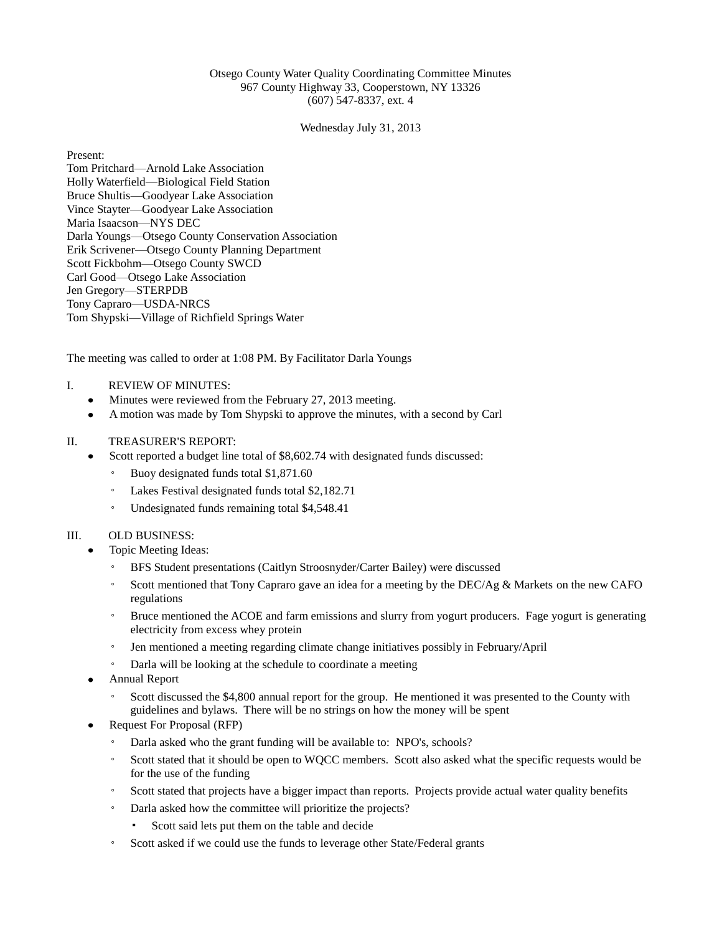## Otsego County Water Quality Coordinating Committee Minutes 967 County Highway 33, Cooperstown, NY 13326 (607) 547-8337, ext. 4

Wednesday July 31, 2013

Present: Tom Pritchard—Arnold Lake Association Holly Waterfield—Biological Field Station Bruce Shultis—Goodyear Lake Association Vince Stayter—Goodyear Lake Association Maria Isaacson—NYS DEC Darla Youngs—Otsego County Conservation Association Erik Scrivener—Otsego County Planning Department Scott Fickbohm—Otsego County SWCD Carl Good—Otsego Lake Association Jen Gregory—STERPDB Tony Capraro—USDA-NRCS Tom Shypski—Village of Richfield Springs Water

The meeting was called to order at 1:08 PM. By Facilitator Darla Youngs

### I. REVIEW OF MINUTES:

- Minutes were reviewed from the February 27, 2013 meeting.
- A motion was made by Tom Shypski to approve the minutes, with a second by Carl

### II. TREASURER'S REPORT:

- Scott reported a budget line total of \$8,602.74 with designated funds discussed:
	- Buoy designated funds total \$1,871.60
	- Lakes Festival designated funds total \$2,182.71
	- Undesignated funds remaining total \$4,548.41

### III. OLD BUSINESS:

- Topic Meeting Ideas:
	- BFS Student presentations (Caitlyn Stroosnyder/Carter Bailey) were discussed
	- Scott mentioned that Tony Capraro gave an idea for a meeting by the DEC/Ag & Markets on the new CAFO regulations
	- Bruce mentioned the ACOE and farm emissions and slurry from yogurt producers. Fage yogurt is generating electricity from excess whey protein
	- Jen mentioned a meeting regarding climate change initiatives possibly in February/April
	- Darla will be looking at the schedule to coordinate a meeting
- Annual Report
	- Scott discussed the \$4,800 annual report for the group. He mentioned it was presented to the County with guidelines and bylaws. There will be no strings on how the money will be spent
- Request For Proposal (RFP)
	- Darla asked who the grant funding will be available to: NPO's, schools?
	- Scott stated that it should be open to WQCC members. Scott also asked what the specific requests would be for the use of the funding
	- Scott stated that projects have a bigger impact than reports. Projects provide actual water quality benefits
	- Darla asked how the committee will prioritize the projects?
		- Scott said lets put them on the table and decide
	- Scott asked if we could use the funds to leverage other State/Federal grants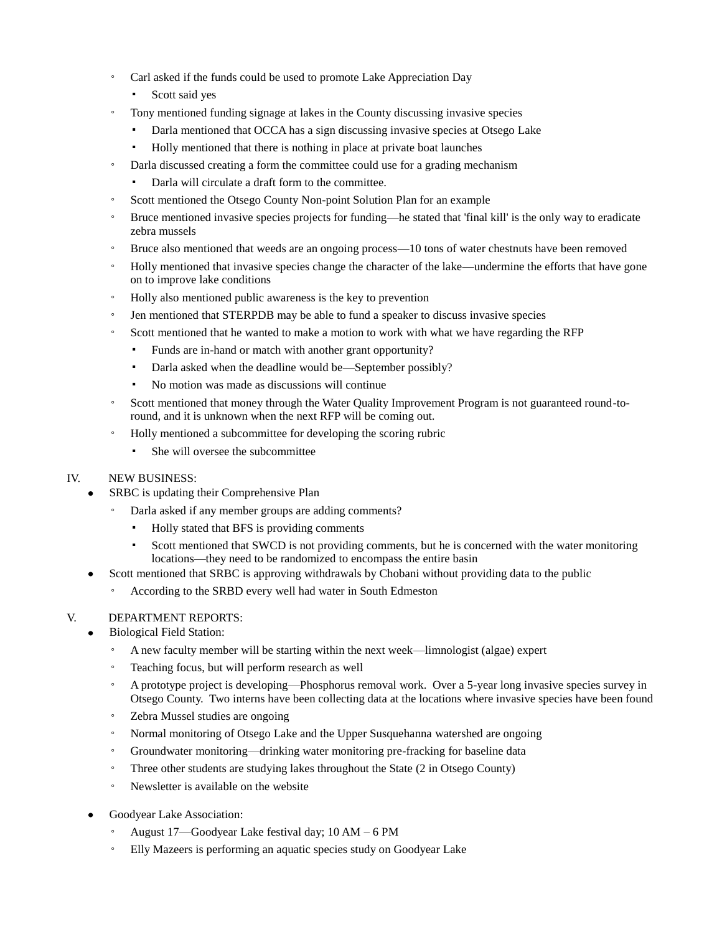- Carl asked if the funds could be used to promote Lake Appreciation Day
	- Scott said yes
	- Tony mentioned funding signage at lakes in the County discussing invasive species
		- Darla mentioned that OCCA has a sign discussing invasive species at Otsego Lake
		- Holly mentioned that there is nothing in place at private boat launches
- Darla discussed creating a form the committee could use for a grading mechanism
	- Darla will circulate a draft form to the committee.
- Scott mentioned the Otsego County Non-point Solution Plan for an example
- Bruce mentioned invasive species projects for funding—he stated that 'final kill' is the only way to eradicate zebra mussels
- Bruce also mentioned that weeds are an ongoing process—10 tons of water chestnuts have been removed
- Holly mentioned that invasive species change the character of the lake—undermine the efforts that have gone on to improve lake conditions
- Holly also mentioned public awareness is the key to prevention
- Jen mentioned that STERPDB may be able to fund a speaker to discuss invasive species
- Scott mentioned that he wanted to make a motion to work with what we have regarding the RFP
	- Funds are in-hand or match with another grant opportunity?
	- Darla asked when the deadline would be—September possibly?
	- No motion was made as discussions will continue
- Scott mentioned that money through the Water Quality Improvement Program is not guaranteed round-toround, and it is unknown when the next RFP will be coming out.
- Holly mentioned a subcommittee for developing the scoring rubric
	- She will oversee the subcommittee

# IV. NEW BUSINESS:

- SRBC is updating their Comprehensive Plan
	- Darla asked if any member groups are adding comments?
		- Holly stated that BFS is providing comments
		- Scott mentioned that SWCD is not providing comments, but he is concerned with the water monitoring locations—they need to be randomized to encompass the entire basin
- Scott mentioned that SRBC is approving withdrawals by Chobani without providing data to the public
	- According to the SRBD every well had water in South Edmeston

# V. DEPARTMENT REPORTS:

- Biological Field Station:
	- A new faculty member will be starting within the next week—limnologist (algae) expert
	- Teaching focus, but will perform research as well
	- A prototype project is developing—Phosphorus removal work. Over a 5-year long invasive species survey in Otsego County. Two interns have been collecting data at the locations where invasive species have been found
	- Zebra Mussel studies are ongoing
	- Normal monitoring of Otsego Lake and the Upper Susquehanna watershed are ongoing
	- Groundwater monitoring—drinking water monitoring pre-fracking for baseline data
	- Three other students are studying lakes throughout the State (2 in Otsego County)
	- Newsletter is available on the website
- Goodyear Lake Association:
	- August 17—Goodyear Lake festival day; 10 AM 6 PM
	- Elly Mazeers is performing an aquatic species study on Goodyear Lake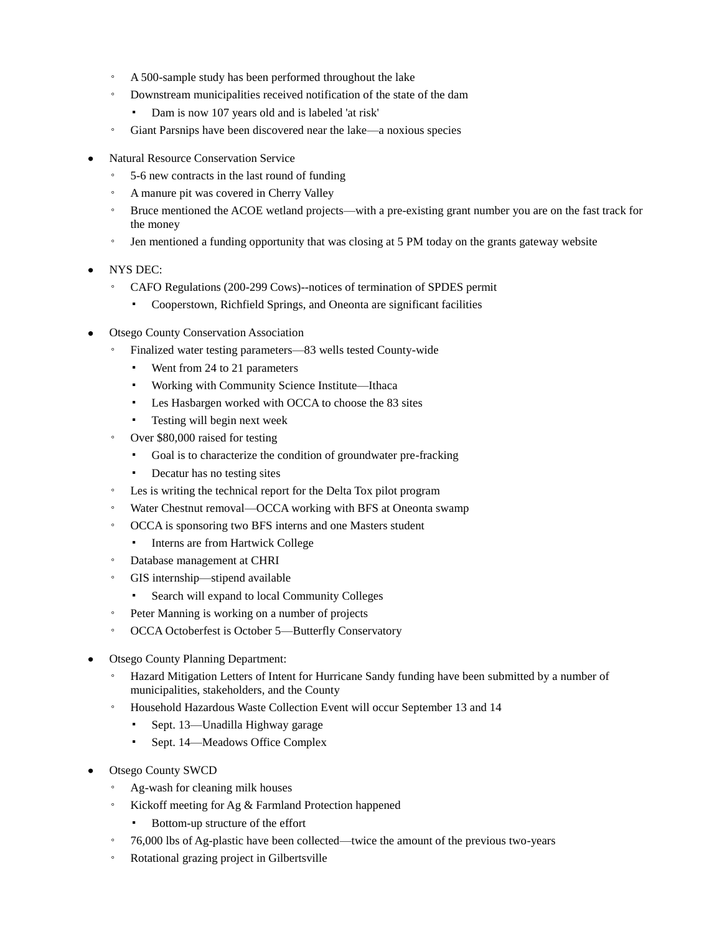- A 500-sample study has been performed throughout the lake
- Downstream municipalities received notification of the state of the dam
	- Dam is now 107 years old and is labeled 'at risk'
- Giant Parsnips have been discovered near the lake—a noxious species
- Natural Resource Conservation Service
	- 5-6 new contracts in the last round of funding
	- A manure pit was covered in Cherry Valley
	- Bruce mentioned the ACOE wetland projects—with a pre-existing grant number you are on the fast track for the money
	- Jen mentioned a funding opportunity that was closing at 5 PM today on the grants gateway website
- NYS DEC:
	- CAFO Regulations (200-299 Cows)--notices of termination of SPDES permit
		- Cooperstown, Richfield Springs, and Oneonta are significant facilities
- Otsego County Conservation Association
	- Finalized water testing parameters—83 wells tested County-wide
		- Went from 24 to 21 parameters
		- Working with Community Science Institute—Ithaca
		- Les Hasbargen worked with OCCA to choose the 83 sites
		- Testing will begin next week
	- Over \$80,000 raised for testing
		- Goal is to characterize the condition of groundwater pre-fracking
		- Decatur has no testing sites
	- Les is writing the technical report for the Delta Tox pilot program
	- Water Chestnut removal—OCCA working with BFS at Oneonta swamp
	- OCCA is sponsoring two BFS interns and one Masters student
		- Interns are from Hartwick College
	- Database management at CHRI
	- GIS internship—stipend available
		- Search will expand to local Community Colleges
	- Peter Manning is working on a number of projects
	- OCCA Octoberfest is October 5—Butterfly Conservatory
- Otsego County Planning Department:
	- Hazard Mitigation Letters of Intent for Hurricane Sandy funding have been submitted by a number of municipalities, stakeholders, and the County
	- Household Hazardous Waste Collection Event will occur September 13 and 14
		- Sept. 13—Unadilla Highway garage
		- Sept. 14—Meadows Office Complex
- Otsego County SWCD
	- Ag-wash for cleaning milk houses
	- Kickoff meeting for Ag & Farmland Protection happened
		- Bottom-up structure of the effort
	- 76,000 lbs of Ag-plastic have been collected—twice the amount of the previous two-years
	- Rotational grazing project in Gilbertsville